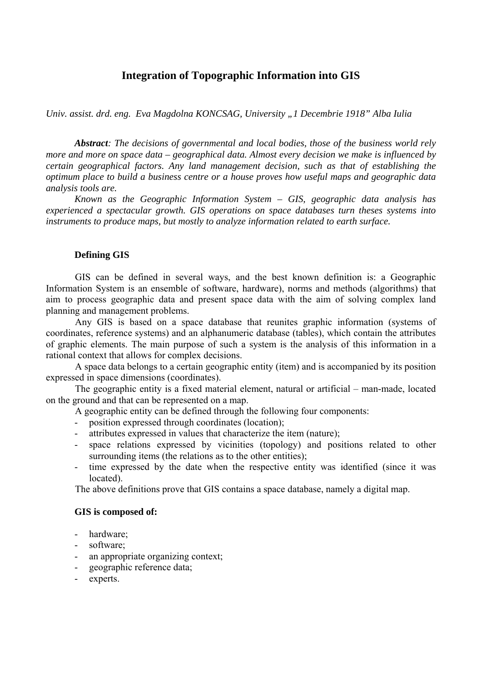# **Integration of Topographic Information into GIS**

*Univ. assist. drd. eng. Eva Magdolna KONCSAG, University "1 Decembrie 1918" Alba Iulia* 

*Abstract: The decisions of governmental and local bodies, those of the business world rely more and more on space data – geographical data. Almost every decision we make is influenced by certain geographical factors. Any land management decision, such as that of establishing the optimum place to build a business centre or a house proves how useful maps and geographic data analysis tools are.* 

*Known as the Geographic Information System – GIS, geographic data analysis has experienced a spectacular growth. GIS operations on space databases turn theses systems into instruments to produce maps, but mostly to analyze information related to earth surface.* 

### **Defining GIS**

GIS can be defined in several ways, and the best known definition is: a Geographic Information System is an ensemble of software, hardware), norms and methods (algorithms) that aim to process geographic data and present space data with the aim of solving complex land planning and management problems.

Any GIS is based on a space database that reunites graphic information (systems of coordinates, reference systems) and an alphanumeric database (tables), which contain the attributes of graphic elements. The main purpose of such a system is the analysis of this information in a rational context that allows for complex decisions.

A space data belongs to a certain geographic entity (item) and is accompanied by its position expressed in space dimensions (coordinates).

The geographic entity is a fixed material element, natural or artificial – man-made, located on the ground and that can be represented on a map.

A geographic entity can be defined through the following four components:

- position expressed through coordinates (location);
- attributes expressed in values that characterize the item (nature);
- space relations expressed by vicinities (topology) and positions related to other surrounding items (the relations as to the other entities);
- time expressed by the date when the respective entity was identified (since it was located).

The above definitions prove that GIS contains a space database, namely a digital map.

### **GIS is composed of:**

- hardware;
- software:
- an appropriate organizing context;
- geographic reference data;
- experts.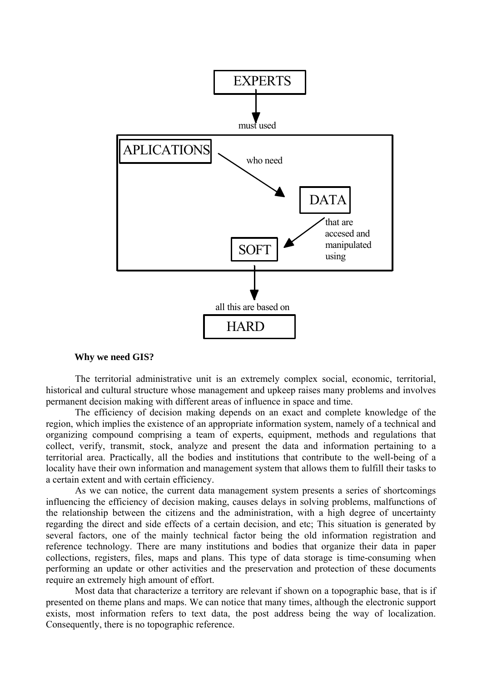

#### **Why we need GIS?**

The territorial administrative unit is an extremely complex social, economic, territorial, historical and cultural structure whose management and upkeep raises many problems and involves permanent decision making with different areas of influence in space and time.

The efficiency of decision making depends on an exact and complete knowledge of the region, which implies the existence of an appropriate information system, namely of a technical and organizing compound comprising a team of experts, equipment, methods and regulations that collect, verify, transmit, stock, analyze and present the data and information pertaining to a territorial area. Practically, all the bodies and institutions that contribute to the well-being of a locality have their own information and management system that allows them to fulfill their tasks to a certain extent and with certain efficiency.

As we can notice, the current data management system presents a series of shortcomings influencing the efficiency of decision making, causes delays in solving problems, malfunctions of the relationship between the citizens and the administration, with a high degree of uncertainty regarding the direct and side effects of a certain decision, and etc; This situation is generated by several factors, one of the mainly technical factor being the old information registration and reference technology. There are many institutions and bodies that organize their data in paper collections, registers, files, maps and plans. This type of data storage is time-consuming when performing an update or other activities and the preservation and protection of these documents require an extremely high amount of effort.

Most data that characterize a territory are relevant if shown on a topographic base, that is if presented on theme plans and maps. We can notice that many times, although the electronic support exists, most information refers to text data, the post address being the way of localization. Consequently, there is no topographic reference.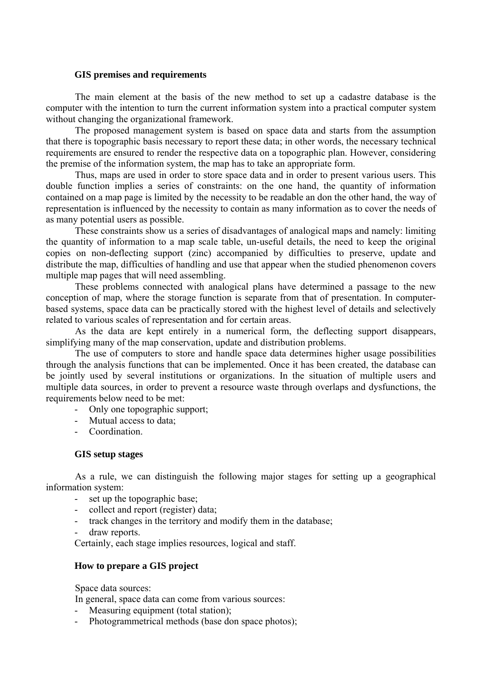### **GIS premises and requirements**

The main element at the basis of the new method to set up a cadastre database is the computer with the intention to turn the current information system into a practical computer system without changing the organizational framework.

The proposed management system is based on space data and starts from the assumption that there is topographic basis necessary to report these data; in other words, the necessary technical requirements are ensured to render the respective data on a topographic plan. However, considering the premise of the information system, the map has to take an appropriate form.

Thus, maps are used in order to store space data and in order to present various users. This double function implies a series of constraints: on the one hand, the quantity of information contained on a map page is limited by the necessity to be readable an don the other hand, the way of representation is influenced by the necessity to contain as many information as to cover the needs of as many potential users as possible.

These constraints show us a series of disadvantages of analogical maps and namely: limiting the quantity of information to a map scale table, un-useful details, the need to keep the original copies on non-deflecting support (zinc) accompanied by difficulties to preserve, update and distribute the map, difficulties of handling and use that appear when the studied phenomenon covers multiple map pages that will need assembling.

These problems connected with analogical plans have determined a passage to the new conception of map, where the storage function is separate from that of presentation. In computerbased systems, space data can be practically stored with the highest level of details and selectively related to various scales of representation and for certain areas.

As the data are kept entirely in a numerical form, the deflecting support disappears, simplifying many of the map conservation, update and distribution problems.

The use of computers to store and handle space data determines higher usage possibilities through the analysis functions that can be implemented. Once it has been created, the database can be jointly used by several institutions or organizations. In the situation of multiple users and multiple data sources, in order to prevent a resource waste through overlaps and dysfunctions, the requirements below need to be met:

- Only one topographic support;
- Mutual access to data;
- Coordination.

## **GIS setup stages**

As a rule, we can distinguish the following major stages for setting up a geographical information system:

- set up the topographic base;
- collect and report (register) data;
- track changes in the territory and modify them in the database;
- draw reports.

Certainly, each stage implies resources, logical and staff.

## **How to prepare a GIS project**

Space data sources:

In general, space data can come from various sources:

- Measuring equipment (total station);
- Photogrammetrical methods (base don space photos);